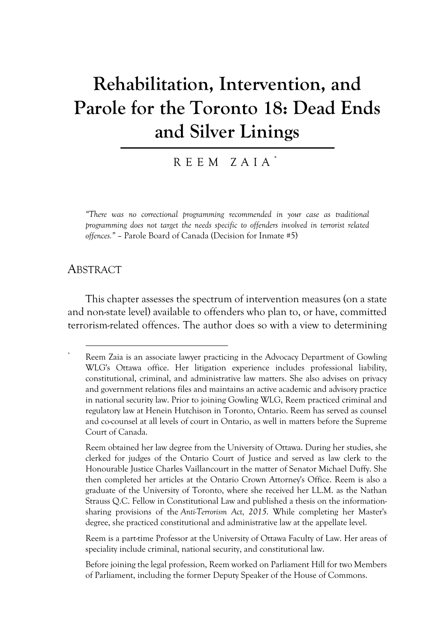# **Rehabilitation, Intervention, and Parole for the Toronto 18: Dead Ends and Silver Linings**

#### REEM ZAIA \*

*"There was no correctional programming recommended in your case as traditional programming does not target the needs specific to offenders involved in terrorist related offences."* – Parole Board of Canada (Decision for Inmate #5)

#### ABSTRACT

\*

This chapter assesses the spectrum of intervention measures (on a state and non-state level) available to offenders who plan to, or have, committed terrorism-related offences. The author does so with a view to determining

Reem is a part-time Professor at the University of Ottawa Faculty of Law. Her areas of speciality include criminal, national security, and constitutional law.

Before joining the legal profession, Reem worked on Parliament Hill for two Members of Parliament, including the former Deputy Speaker of the House of Commons.

Reem Zaia is an associate lawyer practicing in the Advocacy Department of Gowling WLG's Ottawa office. Her litigation experience includes professional liability, constitutional, criminal, and administrative law matters. She also advises on privacy and government relations files and maintains an active academic and advisory practice in national security law. Prior to joining Gowling WLG, Reem practiced criminal and regulatory law at Henein Hutchison in Toronto, Ontario. Reem has served as counsel and co-counsel at all levels of court in Ontario, as well in matters before the Supreme Court of Canada.

Reem obtained her law degree from the University of Ottawa. During her studies, she clerked for judges of the Ontario Court of Justice and served as law clerk to the Honourable Justice Charles Vaillancourt in the matter of Senator Michael Duffy. She then completed her articles at the Ontario Crown Attorney's Office. Reem is also a graduate of the University of Toronto, where she received her LL.M. as the Nathan Strauss Q.C. Fellow in Constitutional Law and published a thesis on the informationsharing provisions of the *Anti-Terrorism Act, 2015*. While completing her Master's degree, she practiced constitutional and administrative law at the appellate level.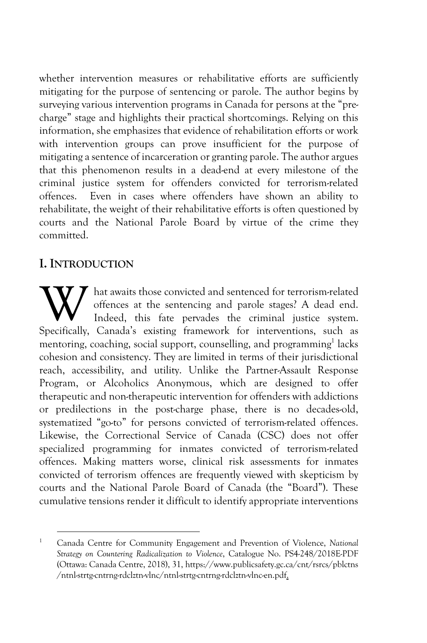whether intervention measures or rehabilitative efforts are sufficiently mitigating for the purpose of sentencing or parole. The author begins by surveying various intervention programs in Canada for persons at the "precharge" stage and highlights their practical shortcomings. Relying on this information, she emphasizes that evidence of rehabilitation efforts or work with intervention groups can prove insufficient for the purpose of mitigating a sentence of incarceration or granting parole. The author argues that this phenomenon results in a dead-end at every milestone of the criminal justice system for offenders convicted for terrorism-related offences. Even in cases where offenders have shown an ability to rehabilitate, the weight of their rehabilitative efforts is often questioned by courts and the National Parole Board by virtue of the crime they committed.

## **I. INTRODUCTION**

hat awaits those convicted and sentenced for terrorism-related offences at the sentencing and parole stages? A dead end. Indeed, this fate pervades the criminal justice system. W hat awaits those convicted and sentenced for terrorism-related offences at the sentencing and parole stages? A dead end. Indeed, this fate pervades the criminal justice system. Specifically, Canada's existing framework f mentoring, coaching, social support, counselling, and programming<sup>1</sup> lacks cohesion and consistency. They are limited in terms of their jurisdictional reach, accessibility, and utility. Unlike the Partner-Assault Response Program, or Alcoholics Anonymous, which are designed to offer therapeutic and non-therapeutic intervention for offenders with addictions or predilections in the post-charge phase, there is no decades-old, systematized "go-to" for persons convicted of terrorism-related offences. Likewise, the Correctional Service of Canada (CSC) does not offer specialized programming for inmates convicted of terrorism-related offences. Making matters worse, clinical risk assessments for inmates convicted of terrorism offences are frequently viewed with skepticism by courts and the National Parole Board of Canada (the "Board"). These cumulative tensions render it difficult to identify appropriate interventions

<sup>1</sup> Canada Centre for Community Engagement and Prevention of Violence, *National Strategy on Countering Radicalization to Violence*, Catalogue No. PS4-248/2018E-PDF (Ottawa: Canada Centre, 2018), 31, https://www.publicsafety.gc.ca/cnt/rsrcs/pblctns /ntnl-strtg-cntrng-rdclztn-vlnc/ntnl-strtg-cntrng-rdclztn-vlnc-en.pdf.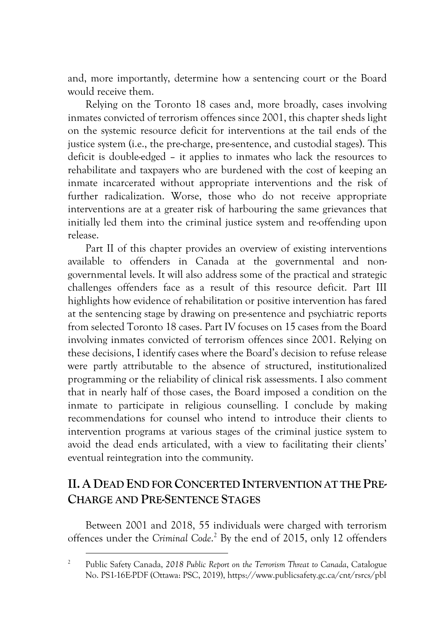and, more importantly, determine how a sentencing court or the Board would receive them.

Relying on the Toronto 18 cases and, more broadly, cases involving inmates convicted of terrorism offences since 2001, this chapter sheds light on the systemic resource deficit for interventions at the tail ends of the justice system (i.e., the pre-charge, pre-sentence, and custodial stages). This deficit is double-edged – it applies to inmates who lack the resources to rehabilitate and taxpayers who are burdened with the cost of keeping an inmate incarcerated without appropriate interventions and the risk of further radicalization. Worse, those who do not receive appropriate interventions are at a greater risk of harbouring the same grievances that initially led them into the criminal justice system and re-offending upon release.

Part II of this chapter provides an overview of existing interventions available to offenders in Canada at the governmental and nongovernmental levels. It will also address some of the practical and strategic challenges offenders face as a result of this resource deficit. Part III highlights how evidence of rehabilitation or positive intervention has fared at the sentencing stage by drawing on pre-sentence and psychiatric reports from selected Toronto 18 cases. Part IV focuses on 15 cases from the Board involving inmates convicted of terrorism offences since 2001. Relying on these decisions, I identify cases where the Board's decision to refuse release were partly attributable to the absence of structured, institutionalized programming or the reliability of clinical risk assessments. I also comment that in nearly half of those cases, the Board imposed a condition on the inmate to participate in religious counselling. I conclude by making recommendations for counsel who intend to introduce their clients to intervention programs at various stages of the criminal justice system to avoid the dead ends articulated, with a view to facilitating their clients' eventual reintegration into the community.

# **II.A DEAD END FOR CONCERTED INTERVENTION AT THE PRE-CHARGE AND PRE-SENTENCE STAGES**

Between 2001 and 2018, 55 individuals were charged with terrorism offences under the *Criminal Code*. <sup>2</sup> By the end of 2015, only 12 offenders

<sup>2</sup> Public Safety Canada, *2018 Public Report on the Terrorism Threat to Canada*, Catalogue No. PS1-16E-PDF (Ottawa: PSC, 2019), https://www.publicsafety.gc.ca/cnt/rsrcs/pbl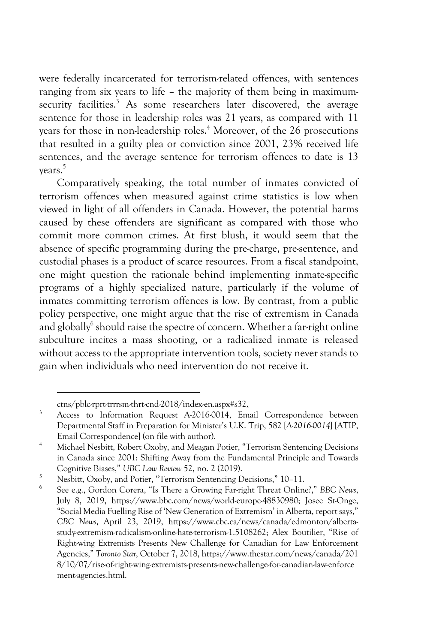were federally incarcerated for terrorism-related offences, with sentences ranging from six years to life – the majority of them being in maximumsecurity facilities.<sup>3</sup> As some researchers later discovered, the average sentence for those in leadership roles was 21 years, as compared with 11 years for those in non-leadership roles.<sup>4</sup> Moreover, of the 26 prosecutions that resulted in a guilty plea or conviction since 2001, 23% received life sentences, and the average sentence for terrorism offences to date is 13 years.5

Comparatively speaking, the total number of inmates convicted of terrorism offences when measured against crime statistics is low when viewed in light of all offenders in Canada. However, the potential harms caused by these offenders are significant as compared with those who commit more common crimes. At first blush, it would seem that the absence of specific programming during the pre-charge, pre-sentence, and custodial phases is a product of scarce resources. From a fiscal standpoint, one might question the rationale behind implementing inmate-specific programs of a highly specialized nature, particularly if the volume of inmates committing terrorism offences is low. By contrast, from a public policy perspective, one might argue that the rise of extremism in Canada and globally<sup>6</sup> should raise the spectre of concern. Whether a far-right online subculture incites a mass shooting, or a radicalized inmate is released without access to the appropriate intervention tools, society never stands to gain when individuals who need intervention do not receive it.

ctns/pblc-rprt-trrrsm-thrt-cnd-2018/index-en.aspx#s32. 3 Access to Information Request A-2016-0014, Email Correspondence between Departmental Staff in Preparation for Minister's U.K. Trip, 582 [*A-2016-0014*] [ATIP, Email Correspondence] (on file with author).

<sup>4</sup> Michael Nesbitt, Robert Oxoby, and Meagan Potier, "Terrorism Sentencing Decisions in Canada since 2001: Shifting Away from the Fundamental Principle and Towards Cognitive Biases," UBC Law Review 52, no. 2 (2019).

<sup>&</sup>lt;sup>5</sup> Nesbitt, Oxoby, and Potier, "Terrorism Sentencing Decisions," 10-11.

<sup>6</sup> See e.g., Gordon Corera, "Is There a Growing Far-right Threat Online?," *BBC News*, July 8, 2019, https://www.bbc.com/news/world-europe-48830980; Josee St-Onge, "Social Media Fuelling Rise of 'New Generation of Extremism' in Alberta, report says," *CBC News*, April 23, 2019, https://www.cbc.ca/news/canada/edmonton/albertastudy-extremism-radicalism-online-hate-terrorism-1.5108262; Alex Boutilier, "Rise of Right-wing Extremists Presents New Challenge for Canadian for Law Enforcement Agencies," *Toronto Star*, October 7, 2018, https://www.thestar.com/news/canada/201 8/10/07/rise-of-right-wing-extremists-presents-new-challenge-for-canadian-law-enforce ment-agencies.html.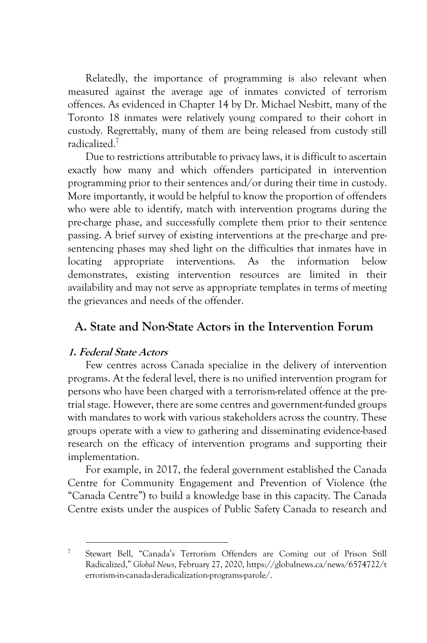Relatedly, the importance of programming is also relevant when measured against the average age of inmates convicted of terrorism offences. As evidenced in Chapter 14 by Dr. Michael Nesbitt, many of the Toronto 18 inmates were relatively young compared to their cohort in custody. Regrettably, many of them are being released from custody still radicalized.7

Due to restrictions attributable to privacy laws, it is difficult to ascertain exactly how many and which offenders participated in intervention programming prior to their sentences and/or during their time in custody. More importantly, it would be helpful to know the proportion of offenders who were able to identify, match with intervention programs during the pre-charge phase, and successfully complete them prior to their sentence passing. A brief survey of existing interventions at the pre-charge and presentencing phases may shed light on the difficulties that inmates have in locating appropriate interventions. As the information below demonstrates, existing intervention resources are limited in their availability and may not serve as appropriate templates in terms of meeting the grievances and needs of the offender.

# **A. State and Non-State Actors in the Intervention Forum**

#### **1. Federal State Actors**

Few centres across Canada specialize in the delivery of intervention programs. At the federal level, there is no unified intervention program for persons who have been charged with a terrorism-related offence at the pretrial stage. However, there are some centres and government-funded groups with mandates to work with various stakeholders across the country. These groups operate with a view to gathering and disseminating evidence-based research on the efficacy of intervention programs and supporting their implementation.

For example, in 2017, the federal government established the Canada Centre for Community Engagement and Prevention of Violence (the "Canada Centre") to build a knowledge base in this capacity. The Canada Centre exists under the auspices of Public Safety Canada to research and

<sup>7</sup> Stewart Bell, "Canada's Terrorism Offenders are Coming out of Prison Still Radicalized," *Global News*, February 27, 2020, https://globalnews.ca/news/6574722/t errorism-in-canada-deradicalization-programs-parole/.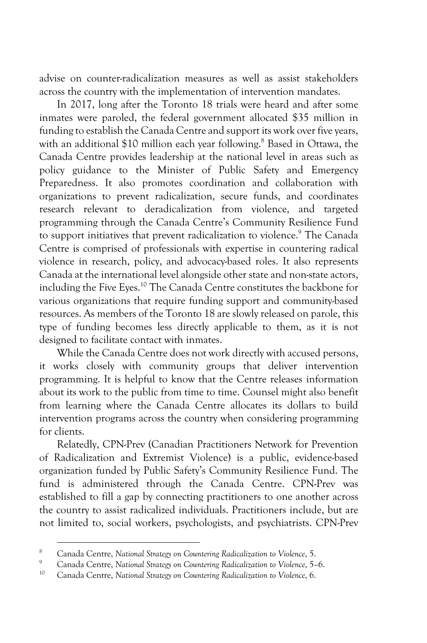advise on counter-radicalization measures as well as assist stakeholders across the country with the implementation of intervention mandates.

In 2017, long after the Toronto 18 trials were heard and after some inmates were paroled, the federal government allocated \$35 million in funding to establish the Canada Centre and support its work over five years, with an additional \$10 million each year following.<sup>8</sup> Based in Ottawa, the Canada Centre provides leadership at the national level in areas such as policy guidance to the Minister of Public Safety and Emergency Preparedness. It also promotes coordination and collaboration with organizations to prevent radicalization, secure funds, and coordinates research relevant to deradicalization from violence, and targeted programming through the Canada Centre's Community Resilience Fund to support initiatives that prevent radicalization to violence.<sup>9</sup> The Canada Centre is comprised of professionals with expertise in countering radical violence in research, policy, and advocacy-based roles. It also represents Canada at the international level alongside other state and non-state actors, including the Five Eyes.10 The Canada Centre constitutes the backbone for various organizations that require funding support and community-based resources. As members of the Toronto 18 are slowly released on parole, this type of funding becomes less directly applicable to them, as it is not designed to facilitate contact with inmates.

While the Canada Centre does not work directly with accused persons, it works closely with community groups that deliver intervention programming. It is helpful to know that the Centre releases information about its work to the public from time to time. Counsel might also benefit from learning where the Canada Centre allocates its dollars to build intervention programs across the country when considering programming for clients.

Relatedly, CPN-Prev (Canadian Practitioners Network for Prevention of Radicalization and Extremist Violence) is a public, evidence-based organization funded by Public Safety's Community Resilience Fund. The fund is administered through the Canada Centre. CPN-Prev was established to fill a gap by connecting practitioners to one another across the country to assist radicalized individuals. Practitioners include, but are not limited to, social workers, psychologists, and psychiatrists. CPN-Prev

<sup>8</sup> Canada Centre, *National Strategy on Countering Radicalization to Violence*, 5.

<sup>9</sup> Canada Centre, *National Strategy on Countering Radicalization to Violence*, 5–6. 10 Canada Centre, *National Strategy on Countering Radicalization to Violence*, 6.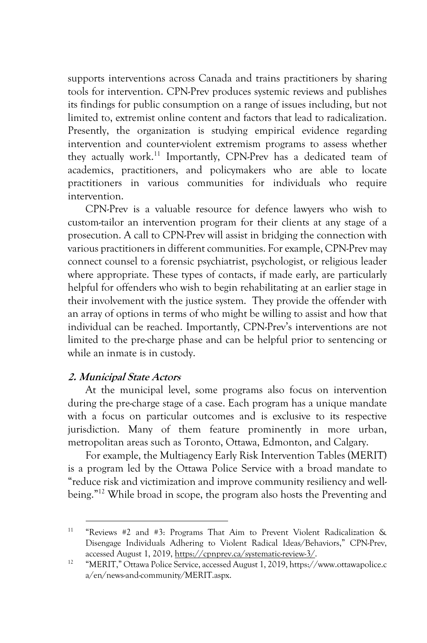supports interventions across Canada and trains practitioners by sharing tools for intervention. CPN-Prev produces systemic reviews and publishes its findings for public consumption on a range of issues including, but not limited to, extremist online content and factors that lead to radicalization. Presently, the organization is studying empirical evidence regarding intervention and counter-violent extremism programs to assess whether they actually work.<sup>11</sup> Importantly, CPN-Prev has a dedicated team of academics, practitioners, and policymakers who are able to locate practitioners in various communities for individuals who require intervention.

CPN-Prev is a valuable resource for defence lawyers who wish to custom-tailor an intervention program for their clients at any stage of a prosecution. A call to CPN-Prev will assist in bridging the connection with various practitioners in different communities. For example, CPN-Prev may connect counsel to a forensic psychiatrist, psychologist, or religious leader where appropriate. These types of contacts, if made early, are particularly helpful for offenders who wish to begin rehabilitating at an earlier stage in their involvement with the justice system. They provide the offender with an array of options in terms of who might be willing to assist and how that individual can be reached. Importantly, CPN-Prev's interventions are not limited to the pre-charge phase and can be helpful prior to sentencing or while an inmate is in custody.

#### **2. Municipal State Actors**

At the municipal level, some programs also focus on intervention during the pre-charge stage of a case. Each program has a unique mandate with a focus on particular outcomes and is exclusive to its respective jurisdiction. Many of them feature prominently in more urban, metropolitan areas such as Toronto, Ottawa, Edmonton, and Calgary.

For example, the Multiagency Early Risk Intervention Tables (MERIT) is a program led by the Ottawa Police Service with a broad mandate to "reduce risk and victimization and improve community resiliency and wellbeing."<sup>12</sup> While broad in scope, the program also hosts the Preventing and

<sup>11</sup> "Reviews #2 and #3: Programs That Aim to Prevent Violent Radicalization & Disengage Individuals Adhering to Violent Radical Ideas/Behaviors," CPN-Prev, accessed August 1, 2019, https://cpnprev.ca/systematic-review-3/.

<sup>12</sup> "MERIT," Ottawa Police Service, accessed August 1, 2019, https://www.ottawapolice.c a/en/news-and-community/MERIT.aspx.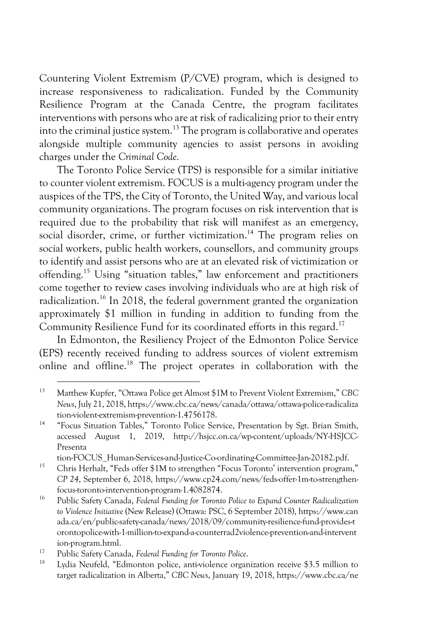Countering Violent Extremism (P/CVE) program, which is designed to increase responsiveness to radicalization. Funded by the Community Resilience Program at the Canada Centre, the program facilitates interventions with persons who are at risk of radicalizing prior to their entry into the criminal justice system.<sup>13</sup> The program is collaborative and operates alongside multiple community agencies to assist persons in avoiding charges under the *Criminal Code.*

The Toronto Police Service (TPS) is responsible for a similar initiative to counter violent extremism. FOCUS is a multi-agency program under the auspices of the TPS, the City of Toronto, the United Way, and various local community organizations. The program focuses on risk intervention that is required due to the probability that risk will manifest as an emergency, social disorder, crime, or further victimization.<sup>14</sup> The program relies on social workers, public health workers, counsellors, and community groups to identify and assist persons who are at an elevated risk of victimization or offending.15 Using "situation tables," law enforcement and practitioners come together to review cases involving individuals who are at high risk of radicalization.16 In 2018, the federal government granted the organization approximately \$1 million in funding in addition to funding from the Community Resilience Fund for its coordinated efforts in this regard.<sup>17</sup>

In Edmonton, the Resiliency Project of the Edmonton Police Service (EPS) recently received funding to address sources of violent extremism online and offline.18 The project operates in collaboration with the

tion-FOCUS\_Human-Services-and-Justice-Co-ordinating-Committee-Jan-20182.pdf. 15 Chris Herhalt, "Feds offer \$1M to strengthen "Focus Toronto' intervention program,"

<sup>13</sup> Matthew Kupfer, "Ottawa Police get Almost \$1M to Prevent Violent Extremism," *CBC News*, July 21, 2018, https://www.cbc.ca/news/canada/ottawa/ottawa-police-radicaliza tion-violent-extremism-prevention-1.4756178.

<sup>&</sup>lt;sup>14</sup> "Focus Situation Tables," Toronto Police Service, Presentation by Sgt. Brian Smith, accessed August 1, 2019, http://hsjcc.on.ca/wp-content/uploads/NY-HSJCC-Presenta

*CP 24*, September 6, 2018, https://www.cp24.com/news/feds-offer-1m-to-strengthenfocus-toronto-intervention-program-1.4082874.

<sup>16</sup> Public Safety Canada, *Federal Funding for Toronto Police to Expand Counter Radicalization to Violence Initiative* (New Release) (Ottawa: PSC, 6 September 2018), https://www.can ada.ca/en/public-safety-canada/news/2018/09/community-resilience-fund-provides-t orontopolice-with-1-million-to-expand-a-counterrad2violence-prevention-and-intervent ion-program.html.

<sup>17</sup> Public Safety Canada, *Federal Funding for Toronto Police*.

Lydia Neufeld, "Edmonton police, anti-violence organization receive \$3.5 million to target radicalization in Alberta," *CBC News*, January 19, 2018, https://www.cbc.ca/ne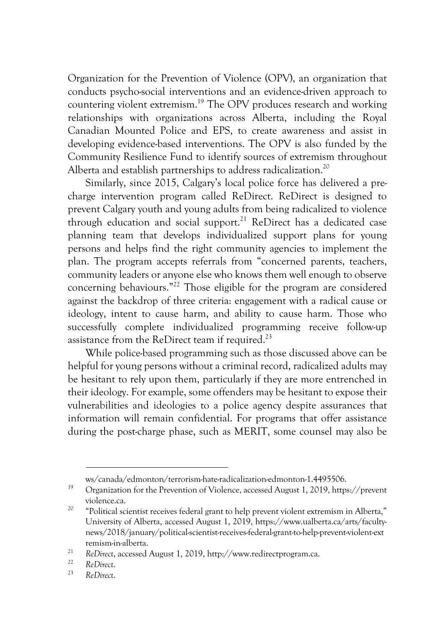Organization for the Prevention of Violence (OPV), an organization that conducts psycho-social interventions and an evidence-driven approach to countering violent extremism.19 The OPV produces research and working relationships with organizations across Alberta, including the Royal Canadian Mounted Police and EPS, to create awareness and assist in developing evidence-based interventions. The OPV is also funded by the Community Resilience Fund to identify sources of extremism throughout Alberta and establish partnerships to address radicalization.<sup>20</sup>

Similarly, since 2015, Calgary's local police force has delivered a precharge intervention program called ReDirect. ReDirect is designed to prevent Calgary youth and young adults from being radicalized to violence through education and social support.<sup>21</sup> ReDirect has a dedicated case planning team that develops individualized support plans for young persons and helps find the right community agencies to implement the plan. The program accepts referrals from "concerned parents, teachers, community leaders or anyone else who knows them well enough to observe concerning behaviours."22 Those eligible for the program are considered against the backdrop of three criteria: engagement with a radical cause or ideology, intent to cause harm, and ability to cause harm. Those who successfully complete individualized programming receive follow-up assistance from the ReDirect team if required.<sup>23</sup>

While police-based programming such as those discussed above can be helpful for young persons without a criminal record, radicalized adults may be hesitant to rely upon them, particularly if they are more entrenched in their ideology. For example, some offenders may be hesitant to expose their vulnerabilities and ideologies to a police agency despite assurances that information will remain confidential. For programs that offer assistance during the post-charge phase, such as MERIT, some counsel may also be

ws/canada/edmonton/terrorism-hate-radicalization-edmonton-1.4495506. 19 Organization for the Prevention of Violence, accessed August 1, 2019, https://prevent violence.ca. 20 "Political scientist receives federal grant to help prevent violent extremism in Alberta,"

University of Alberta, accessed August 1, 2019, https://www.ualberta.ca/arts/facultynews/2018/january/political-scientist-receives-federal-grant-to-help-prevent-violent-ext remism-in-alberta.

<sup>21</sup> *ReDirect*, accessed August 1, 2019, http://www.redirectprogram.ca. 22 *ReDirect*. 23 *ReDirect*.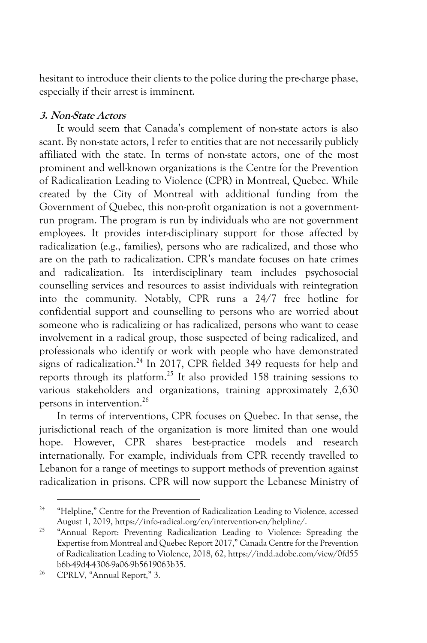hesitant to introduce their clients to the police during the pre-charge phase, especially if their arrest is imminent.

#### **3. Non-State Actors**

It would seem that Canada's complement of non-state actors is also scant. By non-state actors, I refer to entities that are not necessarily publicly affiliated with the state. In terms of non-state actors, one of the most prominent and well-known organizations is the Centre for the Prevention of Radicalization Leading to Violence (CPR) in Montreal, Quebec. While created by the City of Montreal with additional funding from the Government of Quebec, this non-profit organization is not a governmentrun program. The program is run by individuals who are not government employees. It provides inter-disciplinary support for those affected by radicalization (e.g., families), persons who are radicalized, and those who are on the path to radicalization. CPR's mandate focuses on hate crimes and radicalization. Its interdisciplinary team includes psychosocial counselling services and resources to assist individuals with reintegration into the community. Notably, CPR runs a 24/7 free hotline for confidential support and counselling to persons who are worried about someone who is radicalizing or has radicalized, persons who want to cease involvement in a radical group, those suspected of being radicalized, and professionals who identify or work with people who have demonstrated signs of radicalization.<sup>24</sup> In 2017, CPR fielded 349 requests for help and reports through its platform.25 It also provided 158 training sessions to various stakeholders and organizations, training approximately 2,630 persons in intervention.26

In terms of interventions, CPR focuses on Quebec. In that sense, the jurisdictional reach of the organization is more limited than one would hope. However, CPR shares best-practice models and research internationally. For example, individuals from CPR recently travelled to Lebanon for a range of meetings to support methods of prevention against radicalization in prisons. CPR will now support the Lebanese Ministry of

<sup>&</sup>lt;sup>24</sup> "Helpline," Centre for the Prevention of Radicalization Leading to Violence, accessed August 1, 2019, https://info-radical.org/en/intervention-en/helpline/.

<sup>&</sup>lt;sup>25</sup> "Annual Report: Preventing Radicalization Leading to Violence: Spreading the Expertise from Montreal and Quebec Report 2017," Canada Centre for the Prevention of Radicalization Leading to Violence, 2018, 62, https://indd.adobe.com/view/0fd55 b6b-49d4-4306-9a06-9b5619063b35. 26 CPRLV, "Annual Report," 3.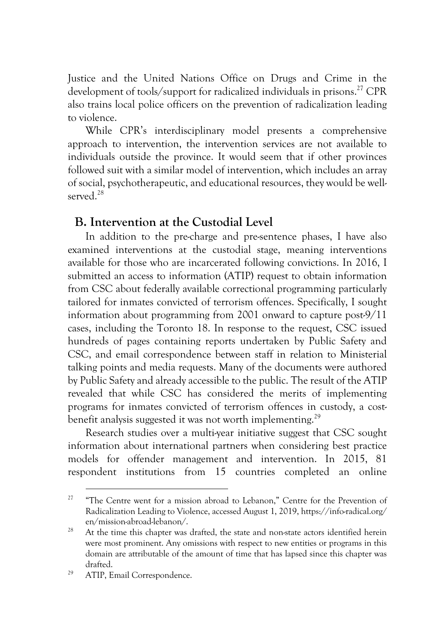Justice and the United Nations Office on Drugs and Crime in the development of tools/support for radicalized individuals in prisons.<sup>27</sup> CPR also trains local police officers on the prevention of radicalization leading to violence.

While CPR's interdisciplinary model presents a comprehensive approach to intervention, the intervention services are not available to individuals outside the province. It would seem that if other provinces followed suit with a similar model of intervention, which includes an array of social, psychotherapeutic, and educational resources, they would be wellserved<sup>28</sup>

#### **B. Intervention at the Custodial Level**

In addition to the pre-charge and pre-sentence phases, I have also examined interventions at the custodial stage, meaning interventions available for those who are incarcerated following convictions. In 2016, I submitted an access to information (ATIP) request to obtain information from CSC about federally available correctional programming particularly tailored for inmates convicted of terrorism offences. Specifically, I sought information about programming from 2001 onward to capture post-9/11 cases, including the Toronto 18. In response to the request, CSC issued hundreds of pages containing reports undertaken by Public Safety and CSC, and email correspondence between staff in relation to Ministerial talking points and media requests. Many of the documents were authored by Public Safety and already accessible to the public. The result of the ATIP revealed that while CSC has considered the merits of implementing programs for inmates convicted of terrorism offences in custody, a costbenefit analysis suggested it was not worth implementing.<sup>29</sup>

Research studies over a multi-year initiative suggest that CSC sought information about international partners when considering best practice models for offender management and intervention. In 2015, 81 respondent institutions from 15 countries completed an online

<sup>&</sup>lt;sup>27</sup> "The Centre went for a mission abroad to Lebanon," Centre for the Prevention of Radicalization Leading to Violence, accessed August 1, 2019, https://info-radical.org/ en/mission-abroad-lebanon/.

<sup>&</sup>lt;sup>28</sup> At the time this chapter was drafted, the state and non-state actors identified herein were most prominent. Any omissions with respect to new entities or programs in this domain are attributable of the amount of time that has lapsed since this chapter was drafted.<br><sup>29</sup> ATIP, Email Correspondence.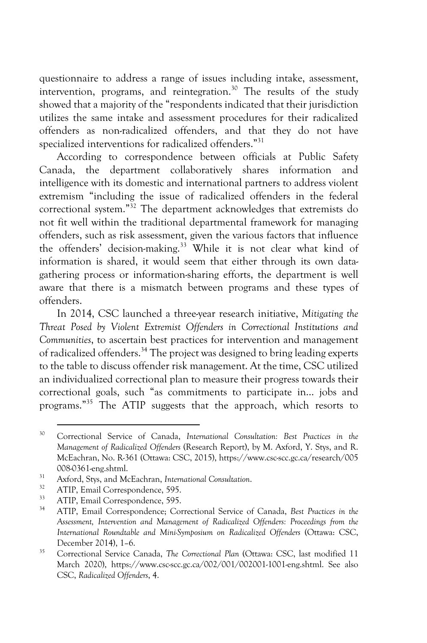questionnaire to address a range of issues including intake, assessment, intervention, programs, and reintegration.<sup>30</sup> The results of the study showed that a majority of the "respondents indicated that their jurisdiction utilizes the same intake and assessment procedures for their radicalized offenders as non-radicalized offenders, and that they do not have specialized interventions for radicalized offenders."31

According to correspondence between officials at Public Safety Canada, the department collaboratively shares information and intelligence with its domestic and international partners to address violent extremism "including the issue of radicalized offenders in the federal correctional system." <sup>32</sup> The department acknowledges that extremists do not fit well within the traditional departmental framework for managing offenders, such as risk assessment, given the various factors that influence the offenders' decision-making.<sup>33</sup> While it is not clear what kind of information is shared, it would seem that either through its own datagathering process or information-sharing efforts, the department is well aware that there is a mismatch between programs and these types of offenders.

In 2014, CSC launched a three-year research initiative, *Mitigating the Threat Posed by Violent Extremist Offenders in Correctional Institutions and Communities*, to ascertain best practices for intervention and management of radicalized offenders.34 The project was designed to bring leading experts to the table to discuss offender risk management. At the time, CSC utilized an individualized correctional plan to measure their progress towards their correctional goals, such "as commitments to participate in… jobs and programs."35 The ATIP suggests that the approach, which resorts to

<sup>30</sup> Correctional Service of Canada, *International Consultation: Best Practices in the Management of Radicalized Offenders* (Research Report), by M. Axford, Y. Stys, and R. McEachran, No. R-361 (Ottawa: CSC, 2015), https://www.csc-scc.gc.ca/research/005

<sup>008-0361-</sup>eng.shtml. 31 Axford, Stys, and McEachran, *International Consultation*.

 $\frac{32}{33}$  ATIP, Email Correspondence, 595.

<sup>&</sup>lt;sup>33</sup> ATIP, Email Correspondence, 595.

<sup>34</sup> ATIP, Email Correspondence; Correctional Service of Canada, *Best Practices in the Assessment, Intervention and Management of Radicalized Offenders: Proceedings from the International Roundtable and Mini-Symposium on Radicalized Offenders* (Ottawa: CSC, December 2014), 1–6.

<sup>35</sup> Correctional Service Canada, *The Correctional Plan* (Ottawa: CSC, last modified 11 March 2020), https://www.csc-scc.gc.ca/002/001/002001-1001-eng.shtml. See also CSC, *Radicalized Offenders*, 4.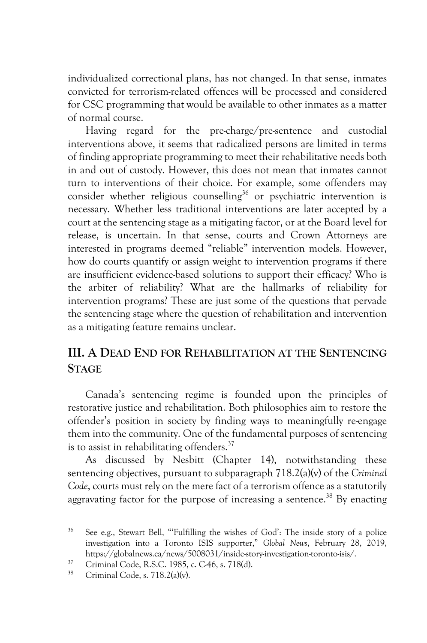individualized correctional plans, has not changed. In that sense, inmates convicted for terrorism-related offences will be processed and considered for CSC programming that would be available to other inmates as a matter of normal course.

Having regard for the pre-charge/pre-sentence and custodial interventions above, it seems that radicalized persons are limited in terms of finding appropriate programming to meet their rehabilitative needs both in and out of custody. However, this does not mean that inmates cannot turn to interventions of their choice. For example, some offenders may consider whether religious counselling<sup>36</sup> or psychiatric intervention is necessary. Whether less traditional interventions are later accepted by a court at the sentencing stage as a mitigating factor, or at the Board level for release, is uncertain. In that sense, courts and Crown Attorneys are interested in programs deemed "reliable" intervention models. However, how do courts quantify or assign weight to intervention programs if there are insufficient evidence-based solutions to support their efficacy? Who is the arbiter of reliability? What are the hallmarks of reliability for intervention programs? These are just some of the questions that pervade the sentencing stage where the question of rehabilitation and intervention as a mitigating feature remains unclear.

# **III. A DEAD END FOR REHABILITATION AT THE SENTENCING STAGE**

Canada's sentencing regime is founded upon the principles of restorative justice and rehabilitation. Both philosophies aim to restore the offender's position in society by finding ways to meaningfully re-engage them into the community. One of the fundamental purposes of sentencing is to assist in rehabilitating offenders.<sup>37</sup>

As discussed by Nesbitt (Chapter 14), notwithstanding these sentencing objectives, pursuant to subparagraph 718.2(a)(v) of the *Criminal Code*, courts must rely on the mere fact of a terrorism offence as a statutorily aggravating factor for the purpose of increasing a sentence.<sup>38</sup> By enacting

<sup>36</sup> See e.g., Stewart Bell, "'Fulfilling the wishes of God': The inside story of a police investigation into a Toronto ISIS supporter," *Global News*, February 28, 2019, https://globalnews.ca/news/5008031/inside-story-investigation-toronto-isis/.

<sup>&</sup>lt;sup>37</sup> Criminal Code, R.S.C. 1985, c. C-46, s. 718(d).<br><sup>38</sup> Criminal Code, s. 718.2(a)(v).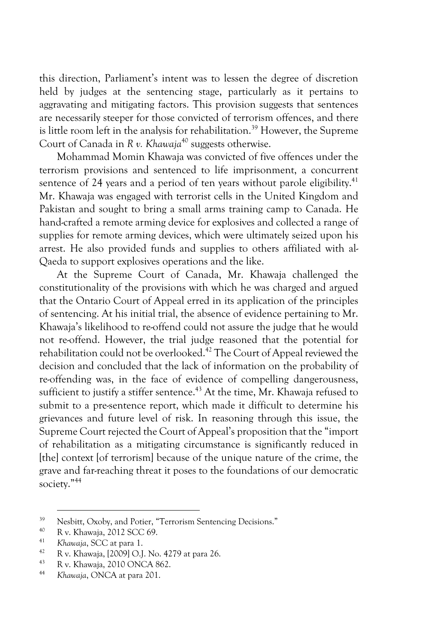this direction, Parliament's intent was to lessen the degree of discretion held by judges at the sentencing stage, particularly as it pertains to aggravating and mitigating factors. This provision suggests that sentences are necessarily steeper for those convicted of terrorism offences, and there is little room left in the analysis for rehabilitation.<sup>39</sup> However, the Supreme Court of Canada in *R v. Khawaja*<sup>40</sup> suggests otherwise.

Mohammad Momin Khawaja was convicted of five offences under the terrorism provisions and sentenced to life imprisonment, a concurrent sentence of 24 years and a period of ten years without parole eligibility.<sup>41</sup> Mr. Khawaja was engaged with terrorist cells in the United Kingdom and Pakistan and sought to bring a small arms training camp to Canada. He hand-crafted a remote arming device for explosives and collected a range of supplies for remote arming devices, which were ultimately seized upon his arrest. He also provided funds and supplies to others affiliated with al-Qaeda to support explosives operations and the like.

At the Supreme Court of Canada, Mr. Khawaja challenged the constitutionality of the provisions with which he was charged and argued that the Ontario Court of Appeal erred in its application of the principles of sentencing. At his initial trial, the absence of evidence pertaining to Mr. Khawaja's likelihood to re-offend could not assure the judge that he would not re-offend. However, the trial judge reasoned that the potential for rehabilitation could not be overlooked.<sup>42</sup> The Court of Appeal reviewed the decision and concluded that the lack of information on the probability of re-offending was, in the face of evidence of compelling dangerousness, sufficient to justify a stiffer sentence.<sup> $43$ </sup> At the time, Mr. Khawaja refused to submit to a pre-sentence report, which made it difficult to determine his grievances and future level of risk. In reasoning through this issue, the Supreme Court rejected the Court of Appeal's proposition that the "import of rehabilitation as a mitigating circumstance is significantly reduced in [the] context [of terrorism] because of the unique nature of the crime, the grave and far-reaching threat it poses to the foundations of our democratic society."44

<sup>39</sup> <sup>39</sup> Nesbitt, Oxoby, and Potier, "Terrorism Sentencing Decisions."<br><sup>40</sup> B v. Khaunia, 2012 SCC 60

<sup>40</sup> R v. Khawaja, 2012 SCC 69.

<sup>41</sup> *Khawaja*, SCC at para 1.

<sup>&</sup>lt;sup>42</sup> R v. Khawaja, [2009] O.J. No. 4279 at para 26.

<sup>43</sup> R v. Khawaja, 2010 ONCA 862. 44 *Khawaja*, ONCA at para 201.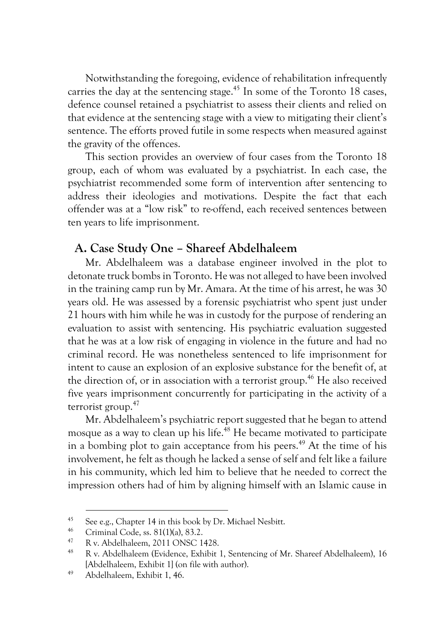Notwithstanding the foregoing, evidence of rehabilitation infrequently carries the day at the sentencing stage.<sup> $45$ </sup> In some of the Toronto 18 cases, defence counsel retained a psychiatrist to assess their clients and relied on that evidence at the sentencing stage with a view to mitigating their client's sentence. The efforts proved futile in some respects when measured against the gravity of the offences.

This section provides an overview of four cases from the Toronto 18 group, each of whom was evaluated by a psychiatrist. In each case, the psychiatrist recommended some form of intervention after sentencing to address their ideologies and motivations. Despite the fact that each offender was at a "low risk" to re-offend, each received sentences between ten years to life imprisonment.

# **A. Case Study One – Shareef Abdelhaleem**

Mr. Abdelhaleem was a database engineer involved in the plot to detonate truck bombs in Toronto. He was not alleged to have been involved in the training camp run by Mr. Amara. At the time of his arrest, he was 30 years old. He was assessed by a forensic psychiatrist who spent just under 21 hours with him while he was in custody for the purpose of rendering an evaluation to assist with sentencing. His psychiatric evaluation suggested that he was at a low risk of engaging in violence in the future and had no criminal record. He was nonetheless sentenced to life imprisonment for intent to cause an explosion of an explosive substance for the benefit of, at the direction of, or in association with a terrorist group.<sup>46</sup> He also received five years imprisonment concurrently for participating in the activity of a terrorist group.<sup>47</sup>

Mr. Abdelhaleem's psychiatric report suggested that he began to attend mosque as a way to clean up his life.<sup>48</sup> He became motivated to participate in a bombing plot to gain acceptance from his peers.<sup>49</sup> At the time of his involvement, he felt as though he lacked a sense of self and felt like a failure in his community, which led him to believe that he needed to correct the impression others had of him by aligning himself with an Islamic cause in

<sup>&</sup>lt;sup>45</sup> See e.g., Chapter 14 in this book by Dr. Michael Nesbitt.<br> $\frac{46}{22}$  Critical Carliera 21(1)(a) 22.2

<sup>46</sup> Criminal Code, ss. 81(1)(a), 83.2.

 $^{47}$  R v. Abdelhaleem, 2011 ONSC 1428.

<sup>48</sup> R v. Abdelhaleem (Evidence, Exhibit 1, Sentencing of Mr. Shareef Abdelhaleem), 16 [Abdelhaleem, Exhibit 1] (on file with author). 49 Abdelhaleem, Exhibit 1, 46.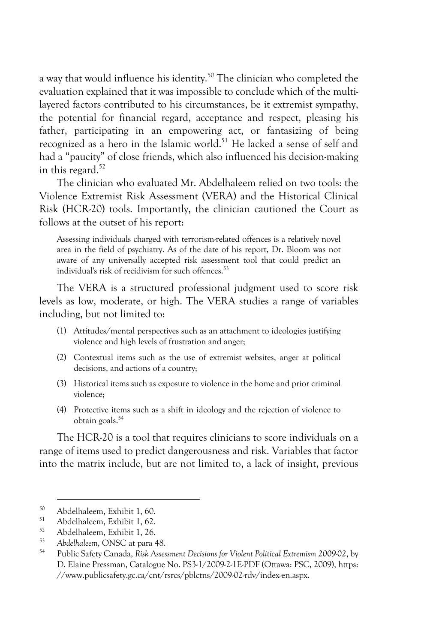a way that would influence his identity.<sup>50</sup> The clinician who completed the evaluation explained that it was impossible to conclude which of the multilayered factors contributed to his circumstances, be it extremist sympathy, the potential for financial regard, acceptance and respect, pleasing his father, participating in an empowering act, or fantasizing of being recognized as a hero in the Islamic world.<sup>51</sup> He lacked a sense of self and had a "paucity" of close friends, which also influenced his decision-making in this regard. $52$ 

The clinician who evaluated Mr. Abdelhaleem relied on two tools: the Violence Extremist Risk Assessment (VERA) and the Historical Clinical Risk (HCR-20) tools. Importantly, the clinician cautioned the Court as follows at the outset of his report:

Assessing individuals charged with terrorism-related offences is a relatively novel area in the field of psychiatry. As of the date of his report, Dr. Bloom was not aware of any universally accepted risk assessment tool that could predict an individual's risk of recidivism for such offences.<sup>53</sup>

The VERA is a structured professional judgment used to score risk levels as low, moderate, or high. The VERA studies a range of variables including, but not limited to:

- (1) Attitudes/mental perspectives such as an attachment to ideologies justifying violence and high levels of frustration and anger;
- (2) Contextual items such as the use of extremist websites, anger at political decisions, and actions of a country;
- (3) Historical items such as exposure to violence in the home and prior criminal violence;
- (4) Protective items such as a shift in ideology and the rejection of violence to obtain goals.54

The HCR-20 is a tool that requires clinicians to score individuals on a range of items used to predict dangerousness and risk. Variables that factor into the matrix include, but are not limited to, a lack of insight, previous

 $50$  Abdelhaleem, Exhibit 1, 60.

 $51$  Abdelhaleem, Exhibit 1, 62.

<sup>52</sup> Abdelhaleem, Exhibit 1, 26.

<sup>53</sup> *Abdelhaleem*, ONSC at para 48.

<sup>54</sup> Public Safety Canada, *Risk Assessment Decisions for Violent Political Extremism 2009-02*, by D. Elaine Pressman, Catalogue No. PS3-1/2009-2-1E-PDF (Ottawa: PSC, 2009), https: //www.publicsafety.gc.ca/cnt/rsrcs/pblctns/2009-02-rdv/index-en.aspx.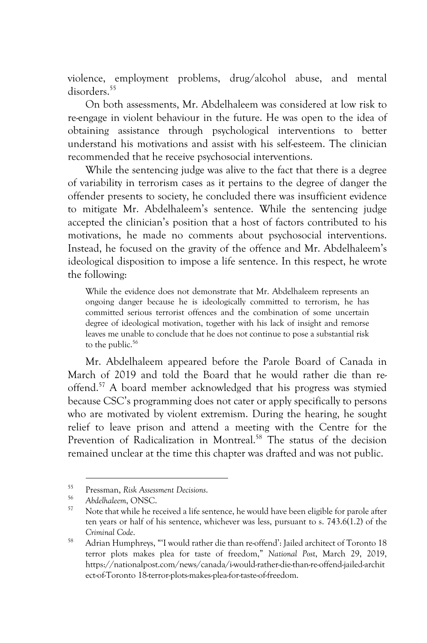violence, employment problems, drug/alcohol abuse, and mental disorders.<sup>55</sup>

On both assessments, Mr. Abdelhaleem was considered at low risk to re-engage in violent behaviour in the future. He was open to the idea of obtaining assistance through psychological interventions to better understand his motivations and assist with his self-esteem. The clinician recommended that he receive psychosocial interventions.

While the sentencing judge was alive to the fact that there is a degree of variability in terrorism cases as it pertains to the degree of danger the offender presents to society, he concluded there was insufficient evidence to mitigate Mr. Abdelhaleem's sentence. While the sentencing judge accepted the clinician's position that a host of factors contributed to his motivations, he made no comments about psychosocial interventions. Instead, he focused on the gravity of the offence and Mr. Abdelhaleem's ideological disposition to impose a life sentence. In this respect, he wrote the following:

While the evidence does not demonstrate that Mr. Abdelhaleem represents an ongoing danger because he is ideologically committed to terrorism, he has committed serious terrorist offences and the combination of some uncertain degree of ideological motivation, together with his lack of insight and remorse leaves me unable to conclude that he does not continue to pose a substantial risk to the public.<sup>56</sup>

Mr. Abdelhaleem appeared before the Parole Board of Canada in March of 2019 and told the Board that he would rather die than reoffend.57 A board member acknowledged that his progress was stymied because CSC's programming does not cater or apply specifically to persons who are motivated by violent extremism. During the hearing, he sought relief to leave prison and attend a meeting with the Centre for the Prevention of Radicalization in Montreal.<sup>58</sup> The status of the decision remained unclear at the time this chapter was drafted and was not public.

<sup>55</sup> Pressman, *Risk Assessment Decisions*.

<sup>&</sup>lt;sup>56</sup> Abdelhaleem, ONSC.<br><sup>57</sup> Note that while he received a life sentence, he would have been eligible for parole after ten years or half of his sentence, whichever was less, pursuant to s. 743.6(1.2) of the *Criminal Code*.

<sup>58</sup> Adrian Humphreys, "'I would rather die than re-offend': Jailed architect of Toronto 18 terror plots makes plea for taste of freedom," *National Post*, March 29, 2019, https://nationalpost.com/news/canada/i-would-rather-die-than-re-offend-jailed-archit ect-of-Toronto 18-terror-plots-makes-plea-for-taste-of-freedom.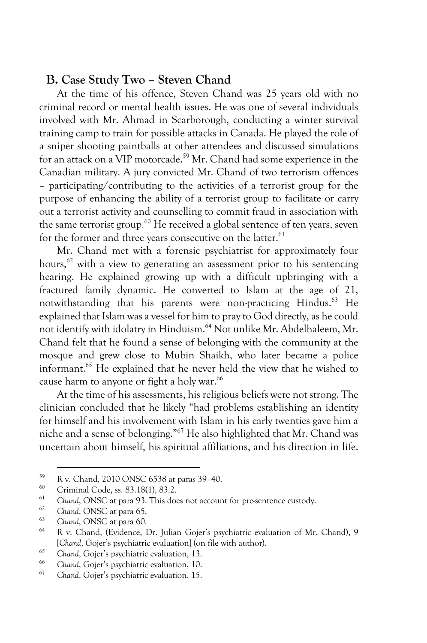# **B. Case Study Two – Steven Chand**

At the time of his offence, Steven Chand was 25 years old with no criminal record or mental health issues. He was one of several individuals involved with Mr. Ahmad in Scarborough, conducting a winter survival training camp to train for possible attacks in Canada. He played the role of a sniper shooting paintballs at other attendees and discussed simulations for an attack on a VIP motorcade.<sup>59</sup> Mr. Chand had some experience in the Canadian military. A jury convicted Mr. Chand of two terrorism offences – participating/contributing to the activities of a terrorist group for the purpose of enhancing the ability of a terrorist group to facilitate or carry out a terrorist activity and counselling to commit fraud in association with the same terrorist group.<sup>60</sup> He received a global sentence of ten years, seven for the former and three years consecutive on the latter.<sup>61</sup>

Mr. Chand met with a forensic psychiatrist for approximately four hours, $62$  with a view to generating an assessment prior to his sentencing hearing. He explained growing up with a difficult upbringing with a fractured family dynamic. He converted to Islam at the age of 21, notwithstanding that his parents were non-practicing Hindus.<sup>63</sup> He explained that Islam was a vessel for him to pray to God directly, as he could not identify with idolatry in Hinduism.<sup>64</sup> Not unlike Mr. Abdelhaleem, Mr. Chand felt that he found a sense of belonging with the community at the mosque and grew close to Mubin Shaikh, who later became a police informant.65 He explained that he never held the view that he wished to cause harm to anyone or fight a holy war.<sup>66</sup>

At the time of his assessments, his religious beliefs were not strong. The clinician concluded that he likely "had problems establishing an identity for himself and his involvement with Islam in his early twenties gave him a niche and a sense of belonging."67 He also highlighted that Mr. Chand was uncertain about himself, his spiritual affiliations, and his direction in life.

<sup>59</sup> R v. Chand, 2010 ONSC 6538 at paras 39–40.

 $^{60}$  Criminal Code, ss. 83.18(1), 83.2.

<sup>&</sup>lt;sup>61</sup> Chand, ONSC at para 93. This does not account for pre-sentence custody.

<sup>&</sup>lt;sup>62</sup> Chand, ONSC at para 65.<br><sup>63</sup> Chand ONSC at name 60.

<sup>63</sup> *Chand*, ONSC at para 60.

<sup>64</sup> R v. Chand, (Evidence, Dr. Julian Gojer's psychiatric evaluation of Mr. Chand), 9 [*Chand*, Gojer's psychiatric evaluation] (on file with author).

<sup>&</sup>lt;sup>65</sup> Chand, Gojer's psychiatric evaluation, 13.

<sup>66</sup> *Chand*, Gojer's psychiatric evaluation, 10.

<sup>67</sup> *Chand*, Gojer's psychiatric evaluation, 15.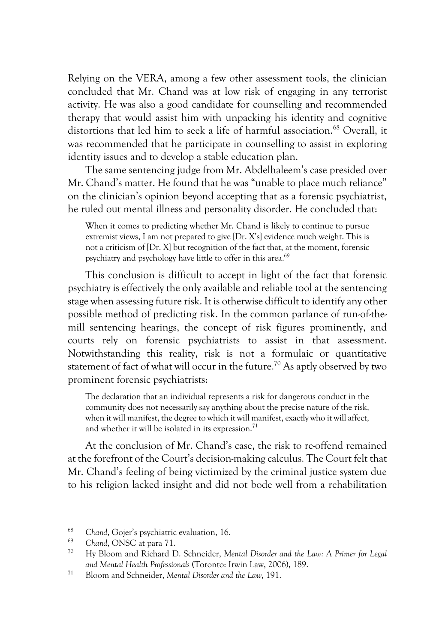Relying on the VERA, among a few other assessment tools, the clinician concluded that Mr. Chand was at low risk of engaging in any terrorist activity. He was also a good candidate for counselling and recommended therapy that would assist him with unpacking his identity and cognitive distortions that led him to seek a life of harmful association.<sup>68</sup> Overall, it was recommended that he participate in counselling to assist in exploring identity issues and to develop a stable education plan.

The same sentencing judge from Mr. Abdelhaleem's case presided over Mr. Chand's matter. He found that he was "unable to place much reliance" on the clinician's opinion beyond accepting that as a forensic psychiatrist, he ruled out mental illness and personality disorder. He concluded that:

When it comes to predicting whether Mr. Chand is likely to continue to pursue extremist views, I am not prepared to give [Dr. X's] evidence much weight. This is not a criticism of [Dr. X] but recognition of the fact that, at the moment, forensic psychiatry and psychology have little to offer in this area.<sup>69</sup>

This conclusion is difficult to accept in light of the fact that forensic psychiatry is effectively the only available and reliable tool at the sentencing stage when assessing future risk. It is otherwise difficult to identify any other possible method of predicting risk. In the common parlance of run-of-themill sentencing hearings, the concept of risk figures prominently, and courts rely on forensic psychiatrists to assist in that assessment. Notwithstanding this reality, risk is not a formulaic or quantitative statement of fact of what will occur in the future.<sup>70</sup> As aptly observed by two prominent forensic psychiatrists:

The declaration that an individual represents a risk for dangerous conduct in the community does not necessarily say anything about the precise nature of the risk, when it will manifest, the degree to which it will manifest, exactly who it will affect, and whether it will be isolated in its expression.<sup>71</sup>

At the conclusion of Mr. Chand's case, the risk to re-offend remained at the forefront of the Court's decision-making calculus. The Court felt that Mr. Chand's feeling of being victimized by the criminal justice system due to his religion lacked insight and did not bode well from a rehabilitation

<sup>68</sup> *Chand*, Gojer's psychiatric evaluation, 16.

<sup>69</sup> *Chand*, ONSC at para 71.

<sup>70</sup> Hy Bloom and Richard D. Schneider, *Mental Disorder and the Law: A Primer for Legal and Mental Health Professionals* (Toronto: Irwin Law, 2006), 189.

<sup>71</sup> Bloom and Schneider, *Mental Disorder and the Law*, 191.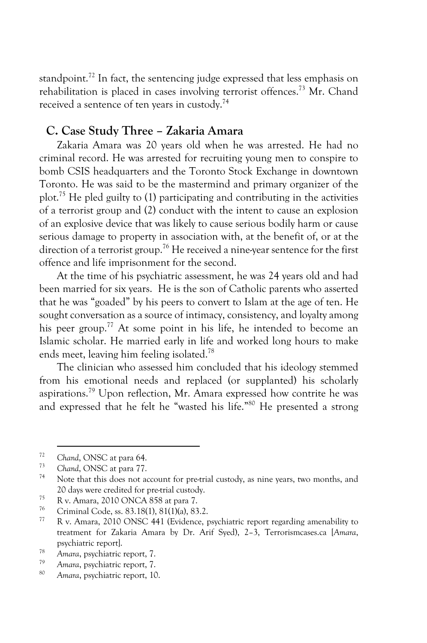standpoint.<sup>72</sup> In fact, the sentencing judge expressed that less emphasis on rehabilitation is placed in cases involving terrorist offences.<sup>73</sup> Mr. Chand received a sentence of ten years in custody.74

### **C. Case Study Three – Zakaria Amara**

Zakaria Amara was 20 years old when he was arrested. He had no criminal record. He was arrested for recruiting young men to conspire to bomb CSIS headquarters and the Toronto Stock Exchange in downtown Toronto. He was said to be the mastermind and primary organizer of the plot.75 He pled guilty to (1) participating and contributing in the activities of a terrorist group and (2) conduct with the intent to cause an explosion of an explosive device that was likely to cause serious bodily harm or cause serious damage to property in association with, at the benefit of, or at the direction of a terrorist group.<sup>76</sup> He received a nine-year sentence for the first offence and life imprisonment for the second.

At the time of his psychiatric assessment, he was 24 years old and had been married for six years. He is the son of Catholic parents who asserted that he was "goaded" by his peers to convert to Islam at the age of ten. He sought conversation as a source of intimacy, consistency, and loyalty among his peer group.<sup>77</sup> At some point in his life, he intended to become an Islamic scholar. He married early in life and worked long hours to make ends meet, leaving him feeling isolated.<sup>78</sup>

The clinician who assessed him concluded that his ideology stemmed from his emotional needs and replaced (or supplanted) his scholarly aspirations.79 Upon reflection, Mr. Amara expressed how contrite he was and expressed that he felt he "wasted his life." <sup>80</sup> He presented a strong

<sup>72</sup> *Chand*, ONSC at para 64.

<sup>73</sup> *Chand*, ONSC at para 77.

Note that this does not account for pre-trial custody, as nine years, two months, and 20 days were credited for pre-trial custody.<br>
R v. Amara, 2010 ONCA 858 at para 7.<br>
Contained Code to 23,18(1), 81(1)(2), 82,2

<sup>&</sup>lt;sup>76</sup> Criminal Code, ss. 83.18(1), 81(1)(a), 83.2.<br><sup>77</sup> P. v. Amaze, 2010 ONSC 441 (Fridance a

R v. Amara, 2010 ONSC 441 (Evidence, psychiatric report regarding amenability to treatment for Zakaria Amara by Dr. Arif Syed), 2–3, Terrorismcases.ca [*Amara*, psychiatric report]. 78 *Amara*, psychiatric report, 7.

<sup>79</sup> *Amara*, psychiatric report, 7.

<sup>80</sup> *Amara*, psychiatric report, 10.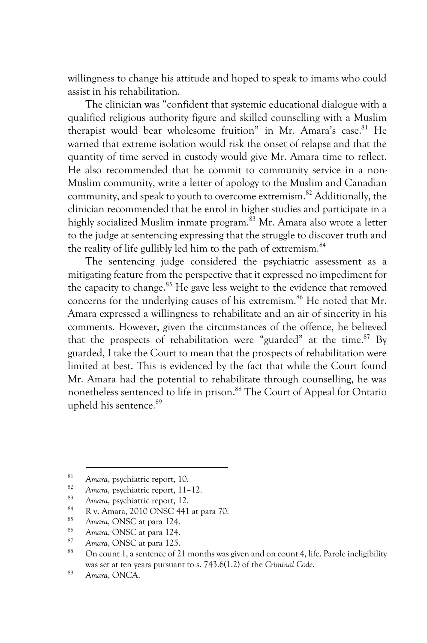willingness to change his attitude and hoped to speak to imams who could assist in his rehabilitation.

The clinician was "confident that systemic educational dialogue with a qualified religious authority figure and skilled counselling with a Muslim therapist would bear wholesome fruition" in Mr. Amara's case.<sup>81</sup> He warned that extreme isolation would risk the onset of relapse and that the quantity of time served in custody would give Mr. Amara time to reflect. He also recommended that he commit to community service in a non-Muslim community, write a letter of apology to the Muslim and Canadian community, and speak to youth to overcome extremism.82 Additionally, the clinician recommended that he enrol in higher studies and participate in a highly socialized Muslim inmate program.<sup>83</sup> Mr. Amara also wrote a letter to the judge at sentencing expressing that the struggle to discover truth and the reality of life gullibly led him to the path of extremism.<sup>84</sup>

The sentencing judge considered the psychiatric assessment as a mitigating feature from the perspective that it expressed no impediment for the capacity to change.<sup>85</sup> He gave less weight to the evidence that removed concerns for the underlying causes of his extremism.<sup>86</sup> He noted that Mr. Amara expressed a willingness to rehabilitate and an air of sincerity in his comments. However, given the circumstances of the offence, he believed that the prospects of rehabilitation were "guarded" at the time.<sup>87</sup> By guarded, I take the Court to mean that the prospects of rehabilitation were limited at best. This is evidenced by the fact that while the Court found Mr. Amara had the potential to rehabilitate through counselling, he was nonetheless sentenced to life in prison.<sup>88</sup> The Court of Appeal for Ontario upheld his sentence.89

<sup>81</sup> *Amara*, psychiatric report, 10. 82 *Amara*, psychiatric report, 11–12.

<sup>&</sup>lt;sup>83</sup> Amara, psychiatric report, 12.

 $84$  R v. Amara, 2010 ONSC 441 at para 70.

<sup>85</sup> *Amara*, ONSC at para 124.

<sup>86</sup> *Amara*, ONSC at para 124.

<sup>87</sup> *Amara*, ONSC at para 125.

On count 1, a sentence of 21 months was given and on count 4, life. Parole ineligibility was set at ten years pursuant to s. 743.6(1.2) of the *Criminal Code*. 89 *Amara*, ONCA.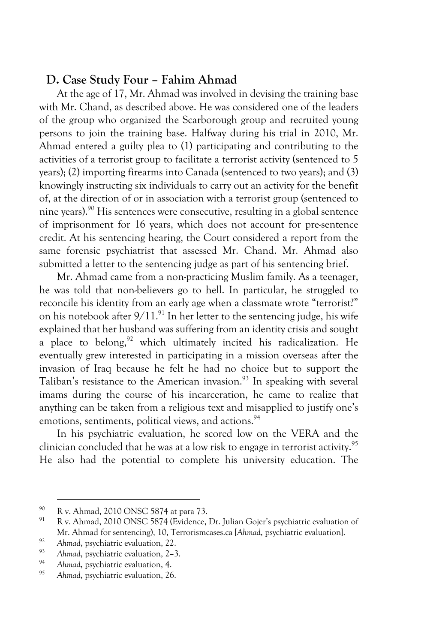# **D. Case Study Four – Fahim Ahmad**

At the age of 17, Mr. Ahmad was involved in devising the training base with Mr. Chand, as described above. He was considered one of the leaders of the group who organized the Scarborough group and recruited young persons to join the training base. Halfway during his trial in 2010, Mr. Ahmad entered a guilty plea to (1) participating and contributing to the activities of a terrorist group to facilitate a terrorist activity (sentenced to 5 years); (2) importing firearms into Canada (sentenced to two years); and (3) knowingly instructing six individuals to carry out an activity for the benefit of, at the direction of or in association with a terrorist group (sentenced to nine years).90 His sentences were consecutive, resulting in a global sentence of imprisonment for 16 years, which does not account for pre-sentence credit. At his sentencing hearing, the Court considered a report from the same forensic psychiatrist that assessed Mr. Chand. Mr. Ahmad also submitted a letter to the sentencing judge as part of his sentencing brief.

Mr. Ahmad came from a non-practicing Muslim family. As a teenager, he was told that non-believers go to hell. In particular, he struggled to reconcile his identity from an early age when a classmate wrote "terrorist?" on his notebook after  $9/11$ .<sup>91</sup>. In her letter to the sentencing judge, his wife explained that her husband was suffering from an identity crisis and sought a place to belong, $92$  which ultimately incited his radicalization. He eventually grew interested in participating in a mission overseas after the invasion of Iraq because he felt he had no choice but to support the Taliban's resistance to the American invasion.<sup>93</sup> In speaking with several imams during the course of his incarceration, he came to realize that anything can be taken from a religious text and misapplied to justify one's emotions, sentiments, political views, and actions.<sup>94</sup>

In his psychiatric evaluation, he scored low on the VERA and the clinician concluded that he was at a low risk to engage in terrorist activity.<sup>95</sup> He also had the potential to complete his university education. The

 $^{90}$  R v. Ahmad, 2010 ONSC 5874 at para 73.

R v. Ahmad, 2010 ONSC 5874 (Evidence, Dr. Julian Gojer's psychiatric evaluation of Mr. Ahmad for sentencing), 10, Terrorismcases.ca [*Ahmad*, psychiatric evaluation].

<sup>&</sup>lt;sup>92</sup> Ahmad, psychiatric evaluation, 22.

<sup>&</sup>lt;sup>93</sup> Ahmad, psychiatric evaluation, 2–3.

<sup>&</sup>lt;sup>94</sup> Ahmad, psychiatric evaluation, 4.<br><sup>95</sup> Ahmad, psychiatric evaluation, 26

<sup>95</sup> *Ahmad*, psychiatric evaluation, 26.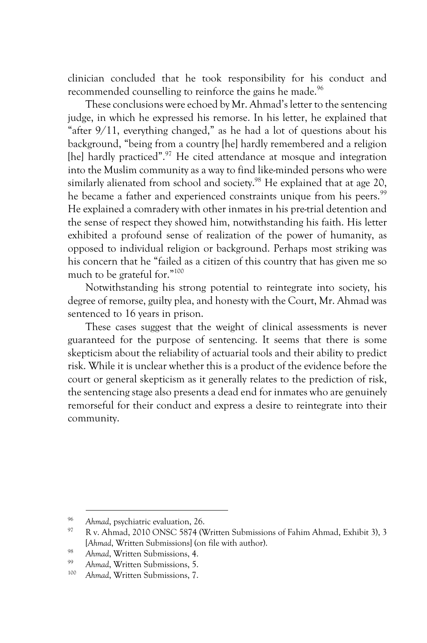clinician concluded that he took responsibility for his conduct and recommended counselling to reinforce the gains he made.<sup>96</sup>

These conclusions were echoed by Mr. Ahmad's letter to the sentencing judge, in which he expressed his remorse. In his letter, he explained that "after 9/11, everything changed," as he had a lot of questions about his background, "being from a country [he] hardly remembered and a religion [he] hardly practiced".<sup>97</sup> He cited attendance at mosque and integration into the Muslim community as a way to find like-minded persons who were similarly alienated from school and society.<sup>98</sup> He explained that at age 20, he became a father and experienced constraints unique from his peers.<sup>99</sup> He explained a comradery with other inmates in his pre-trial detention and the sense of respect they showed him, notwithstanding his faith. His letter exhibited a profound sense of realization of the power of humanity, as opposed to individual religion or background. Perhaps most striking was his concern that he "failed as a citizen of this country that has given me so much to be grateful for."100

Notwithstanding his strong potential to reintegrate into society, his degree of remorse, guilty plea, and honesty with the Court, Mr. Ahmad was sentenced to 16 years in prison.

These cases suggest that the weight of clinical assessments is never guaranteed for the purpose of sentencing. It seems that there is some skepticism about the reliability of actuarial tools and their ability to predict risk. While it is unclear whether this is a product of the evidence before the court or general skepticism as it generally relates to the prediction of risk, the sentencing stage also presents a dead end for inmates who are genuinely remorseful for their conduct and express a desire to reintegrate into their community.

<sup>&</sup>lt;sup>96</sup> Ahmad, psychiatric evaluation, 26.<br><sup>97</sup> P. Ahmad, 2010 ONSC 5874 (N

<sup>97</sup> R v. Ahmad, 2010 ONSC 5874 (Written Submissions of Fahim Ahmad, Exhibit 3), 3 [*Ahmad*, Written Submissions] (on file with author).

<sup>98</sup> *Ahmad*, Written Submissions, 4.

<sup>&</sup>lt;sup>99</sup> Ahmad, Written Submissions, 5.<br><sup>100</sup> Ahmad Whitten Submissions, 7.

Ahmad, Written Submissions, 7.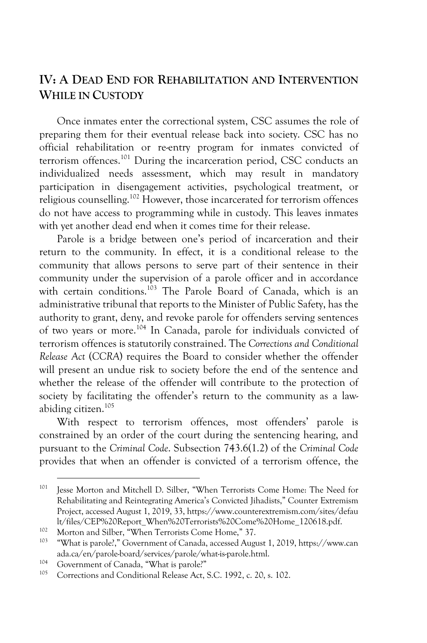# **IV: A DEAD END FOR REHABILITATION AND INTERVENTION WHILE IN CUSTODY**

Once inmates enter the correctional system, CSC assumes the role of preparing them for their eventual release back into society. CSC has no official rehabilitation or re-entry program for inmates convicted of terrorism offences.101 During the incarceration period, CSC conducts an individualized needs assessment, which may result in mandatory participation in disengagement activities, psychological treatment, or religious counselling.102 However, those incarcerated for terrorism offences do not have access to programming while in custody. This leaves inmates with yet another dead end when it comes time for their release.

Parole is a bridge between one's period of incarceration and their return to the community. In effect, it is a conditional release to the community that allows persons to serve part of their sentence in their community under the supervision of a parole officer and in accordance with certain conditions.<sup>103</sup> The Parole Board of Canada, which is an administrative tribunal that reports to the Minister of Public Safety, has the authority to grant, deny, and revoke parole for offenders serving sentences of two years or more.104 In Canada, parole for individuals convicted of terrorism offences is statutorily constrained. The *Corrections and Conditional Release Act* (*CCRA*) requires the Board to consider whether the offender will present an undue risk to society before the end of the sentence and whether the release of the offender will contribute to the protection of society by facilitating the offender's return to the community as a lawabiding citizen.105

With respect to terrorism offences, most offenders' parole is constrained by an order of the court during the sentencing hearing, and pursuant to the *Criminal Code*. Subsection 743.6(1.2) of the *Criminal Code* provides that when an offender is convicted of a terrorism offence, the

<sup>&</sup>lt;sup>101</sup> Jesse Morton and Mitchell D. Silber, "When Terrorists Come Home: The Need for Rehabilitating and Reintegrating America's Convicted Jihadists," Counter Extremism Project, accessed August 1, 2019, 33, https://www.counterextremism.com/sites/defau lt/files/CEP%20Report\_When%20Terrorists%20Come%20Home\_120618.pdf.<br>
Morton and Silber, "When Terrorists Come Home," 37.<br>
<sup>103</sup> "What is namele?" Communent of Canada, assessed Ayrust 1, 2010. https://www.

<sup>&</sup>quot;What is parole?," Government of Canada, accessed August 1, 2019, https://www.can ada.ca/en/parole-board/services/parole/what-is-parole.html.

<sup>&</sup>lt;sup>104</sup> Government of Canada, "What is parole?"<br> $\frac{105}{2}$  Government of Canaditional Balacce Act

Corrections and Conditional Release Act, S.C. 1992, c. 20, s. 102.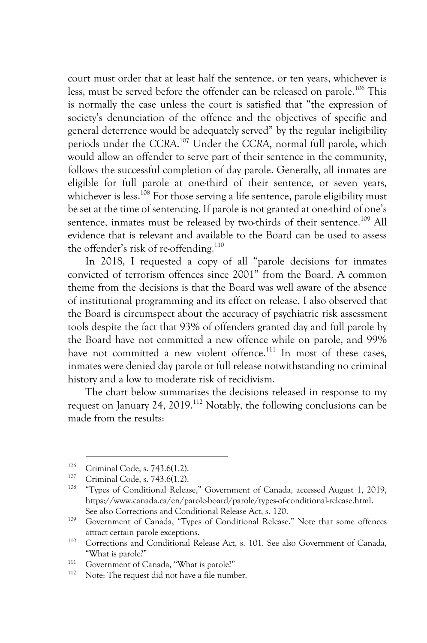court must order that at least half the sentence, or ten years, whichever is less, must be served before the offender can be released on parole.<sup>106</sup> This is normally the case unless the court is satisfied that "the expression of society's denunciation of the offence and the objectives of specific and general deterrence would be adequately served" by the regular ineligibility periods under the *CCRA*. <sup>107</sup> Under the *CCRA*, normal full parole, which would allow an offender to serve part of their sentence in the community, follows the successful completion of day parole. Generally, all inmates are eligible for full parole at one-third of their sentence, or seven years, whichever is less.<sup>108</sup> For those serving a life sentence, parole eligibility must be set at the time of sentencing. If parole is not granted at one-third of one's sentence, inmates must be released by two-thirds of their sentence.<sup>109</sup> All evidence that is relevant and available to the Board can be used to assess the offender's risk of re-offending.<sup>110</sup>

In 2018, I requested a copy of all "parole decisions for inmates convicted of terrorism offences since 2001" from the Board. A common theme from the decisions is that the Board was well aware of the absence of institutional programming and its effect on release. I also observed that the Board is circumspect about the accuracy of psychiatric risk assessment tools despite the fact that 93% of offenders granted day and full parole by the Board have not committed a new offence while on parole, and 99% have not committed a new violent offence.<sup>111</sup> In most of these cases, inmates were denied day parole or full release notwithstanding no criminal history and a low to moderate risk of recidivism.

The chart below summarizes the decisions released in response to my request on January 24, 2019.<sup>112</sup> Notably, the following conclusions can be made from the results:

<sup>&</sup>lt;sup>106</sup> Criminal Code, s. 743.6(1.2).<br>
<sup>107</sup> Criminal Code, s. 743.6(1.2).

<sup>108</sup> "Types of Conditional Release," Government of Canada, accessed August 1, 2019, https://www.canada.ca/en/parole-board/parole/types-of-conditional-release.html. See also Corrections and Conditional Release Act, s. 120.

<sup>109</sup> Government of Canada, "Types of Conditional Release." Note that some offences attract certain parole exceptions.

<sup>110</sup> Corrections and Conditional Release Act, s. 101. See also Government of Canada, "What is parole?"

 $111$  Government of Canada, "What is parole?"

Note: The request did not have a file number.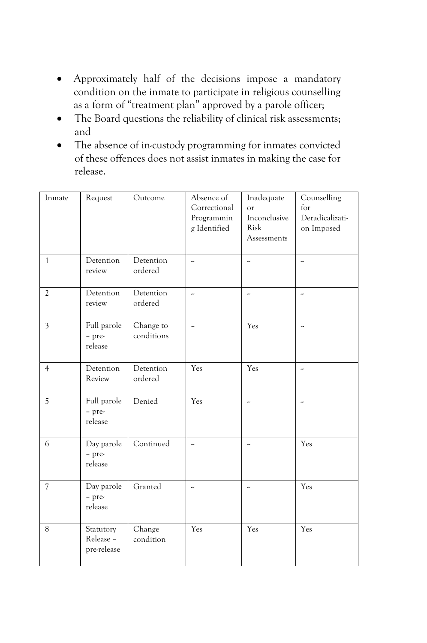- Approximately half of the decisions impose a mandatory condition on the inmate to participate in religious counselling as a form of "treatment plan" approved by a parole officer;
- The Board questions the reliability of clinical risk assessments; and
- The absence of in-custody programming for inmates convicted of these offences does not assist inmates in making the case for release.

| Inmate                   | Request                               | Outcome                 | Absence of<br>Correctional<br>Programmin<br>g Identified | Inadequate<br>or<br>Inconclusive<br>Risk<br>Assessments | Counselling<br>for<br>Deradicalizati-<br>on Imposed |
|--------------------------|---------------------------------------|-------------------------|----------------------------------------------------------|---------------------------------------------------------|-----------------------------------------------------|
| $\mathbf{1}$             | Detention<br>review                   | Detention<br>ordered    | ž.                                                       | z.                                                      | ÷,                                                  |
| $\overline{2}$           | Detention<br>review                   | Detention<br>ordered    | ×,                                                       | ×,                                                      | ÷,                                                  |
| $\mathfrak{Z}$           | Full parole<br>- pre-<br>release      | Change to<br>conditions | u,                                                       | Yes                                                     | u,                                                  |
| $\overline{4}$           | Detention<br>Review                   | Detention<br>ordered    | Yes                                                      | Yes                                                     | ÷,                                                  |
| 5                        | Full parole<br>- pre-<br>release      | Denied                  | Yes                                                      | ÷                                                       | 4                                                   |
| 6                        | Day parole<br>- pre-<br>release       | Continued               | ×,                                                       | ×,                                                      | Yes                                                 |
| $\overline{\mathcal{U}}$ | Day parole<br>- pre-<br>release       | Granted                 | ù,                                                       | J,                                                      | Yes                                                 |
| 8                        | Statutory<br>Release -<br>pre-release | Change<br>condition     | Yes                                                      | Yes                                                     | Yes                                                 |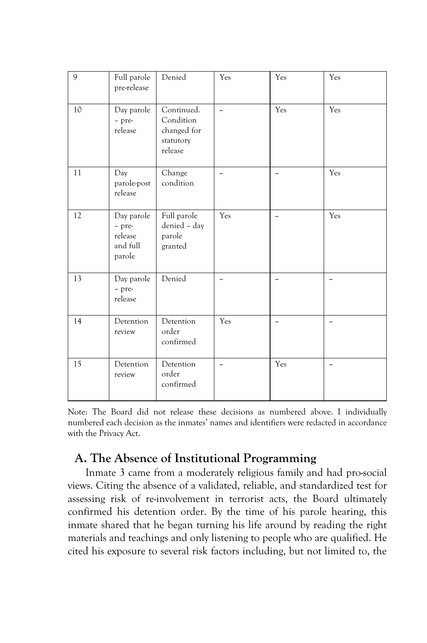| 9  | Full parole<br>pre-release                            | Denied                                                         | Yes | Yes                  | Yes                   |
|----|-------------------------------------------------------|----------------------------------------------------------------|-----|----------------------|-----------------------|
| 10 | Day parole<br>- pre-<br>release                       | Continued.<br>Condition<br>changed for<br>statutory<br>release | u,  | Yes                  | Yes                   |
| 11 | Day<br>parole-post<br>release                         | Change<br>condition                                            | ×,  | ×,                   | Yes                   |
| 12 | Day parole<br>- pre-<br>release<br>and full<br>parole | Full parole<br>denied - day<br>parole<br>granted               | Yes | ×,                   | Yes                   |
| 13 | Day parole<br>- pre-<br>release                       | Denied                                                         | ÷   | $\ddot{\phantom{0}}$ | ÷                     |
| 14 | Detention<br>review                                   | Detention<br>order<br>confirmed                                | Yes | $\sim$               | $\sim$                |
| 15 | Detention<br>review                                   | Detention<br>order<br>confirmed                                | ×,  | Yes                  | $\tilde{\phantom{a}}$ |

Note: The Board did not release these decisions as numbered above. I individually numbered each decision as the inmates' names and identifiers were redacted in accordance with the Privacy Act.

# **A. The Absence of Institutional Programming**

Inmate 3 came from a moderately religious family and had pro-social views. Citing the absence of a validated, reliable, and standardized test for assessing risk of re-involvement in terrorist acts, the Board ultimately confirmed his detention order. By the time of his parole hearing, this inmate shared that he began turning his life around by reading the right materials and teachings and only listening to people who are qualified. He cited his exposure to several risk factors including, but not limited to, the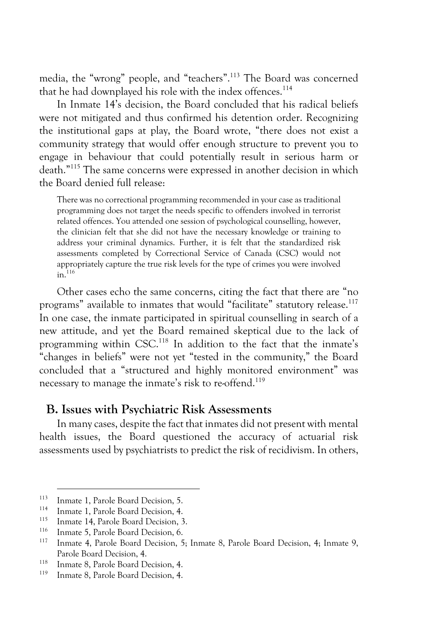media, the "wrong" people, and "teachers".113 The Board was concerned that he had downplayed his role with the index offences.<sup>114</sup>

In Inmate 14's decision, the Board concluded that his radical beliefs were not mitigated and thus confirmed his detention order. Recognizing the institutional gaps at play, the Board wrote, "there does not exist a community strategy that would offer enough structure to prevent you to engage in behaviour that could potentially result in serious harm or death."115 The same concerns were expressed in another decision in which the Board denied full release:

There was no correctional programming recommended in your case as traditional programming does not target the needs specific to offenders involved in terrorist related offences. You attended one session of psychological counselling, however, the clinician felt that she did not have the necessary knowledge or training to address your criminal dynamics. Further, it is felt that the standardized risk assessments completed by Correctional Service of Canada (CSC) would not appropriately capture the true risk levels for the type of crimes you were involved  $in.$ <sup>116</sup>

Other cases echo the same concerns, citing the fact that there are "no programs" available to inmates that would "facilitate" statutory release.<sup>117</sup> In one case, the inmate participated in spiritual counselling in search of a new attitude, and yet the Board remained skeptical due to the lack of programming within CSC.<sup>118</sup> In addition to the fact that the inmate's "changes in beliefs" were not yet "tested in the community," the Board concluded that a "structured and highly monitored environment" was necessary to manage the inmate's risk to re-offend.<sup>119</sup>

#### **B. Issues with Psychiatric Risk Assessments**

In many cases, despite the fact that inmates did not present with mental health issues, the Board questioned the accuracy of actuarial risk assessments used by psychiatrists to predict the risk of recidivism. In others,

<sup>&</sup>lt;sup>113</sup> Inmate 1, Parole Board Decision, 5.<br><sup>114</sup> Inmate 1, Parole Board Decision, 4.

<sup>&</sup>lt;sup>114</sup> Inmate 1, Parole Board Decision, 4.

<sup>&</sup>lt;sup>115</sup> Inmate 14, Parole Board Decision, 3.<br><sup>116</sup> Inmate 5, Parole Board Decision, 6.

<sup>&</sup>lt;sup>116</sup> Inmate 5, Parole Board Decision, 6.<br><sup>117</sup> Inmate 4, Parole Board Decision, 5; Inmate 8, Parole Board Decision, 4; Inmate 9, Parole Board Decision, 4.

<sup>&</sup>lt;sup>118</sup> Inmate 8, Parole Board Decision, 4.

Inmate 8, Parole Board Decision, 4.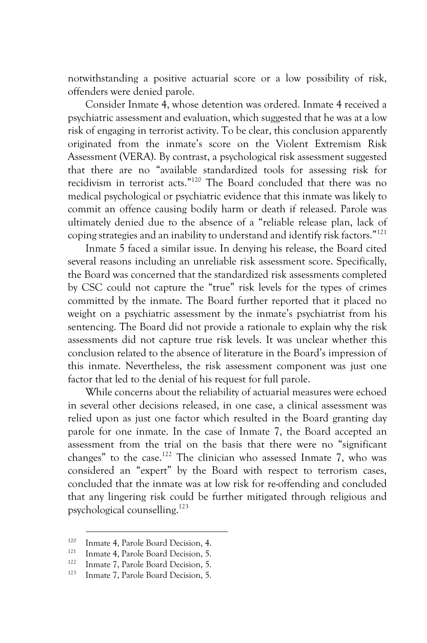notwithstanding a positive actuarial score or a low possibility of risk, offenders were denied parole.

Consider Inmate 4, whose detention was ordered. Inmate 4 received a psychiatric assessment and evaluation, which suggested that he was at a low risk of engaging in terrorist activity. To be clear, this conclusion apparently originated from the inmate's score on the Violent Extremism Risk Assessment (VERA). By contrast, a psychological risk assessment suggested that there are no "available standardized tools for assessing risk for recidivism in terrorist acts." <sup>120</sup> The Board concluded that there was no medical psychological or psychiatric evidence that this inmate was likely to commit an offence causing bodily harm or death if released. Parole was ultimately denied due to the absence of a "reliable release plan, lack of coping strategies and an inability to understand and identify risk factors."121

Inmate 5 faced a similar issue. In denying his release, the Board cited several reasons including an unreliable risk assessment score. Specifically, the Board was concerned that the standardized risk assessments completed by CSC could not capture the "true" risk levels for the types of crimes committed by the inmate. The Board further reported that it placed no weight on a psychiatric assessment by the inmate's psychiatrist from his sentencing. The Board did not provide a rationale to explain why the risk assessments did not capture true risk levels. It was unclear whether this conclusion related to the absence of literature in the Board's impression of this inmate. Nevertheless, the risk assessment component was just one factor that led to the denial of his request for full parole.

While concerns about the reliability of actuarial measures were echoed in several other decisions released, in one case, a clinical assessment was relied upon as just one factor which resulted in the Board granting day parole for one inmate. In the case of Inmate 7, the Board accepted an assessment from the trial on the basis that there were no "significant changes" to the case.<sup>122</sup> The clinician who assessed Inmate 7, who was considered an "expert" by the Board with respect to terrorism cases, concluded that the inmate was at low risk for re-offending and concluded that any lingering risk could be further mitigated through religious and psychological counselling.123

<sup>&</sup>lt;sup>120</sup> Inmate 4, Parole Board Decision, 4.<br><sup>121</sup> Invested A Republic Board Decision 5

<sup>&</sup>lt;sup>121</sup> Inmate 4, Parole Board Decision, 5.

<sup>&</sup>lt;sup>122</sup> Inmate 7, Parole Board Decision, 5.<br><sup>123</sup> Inmate 7, Parole Board Decision, 5.

Inmate 7, Parole Board Decision, 5.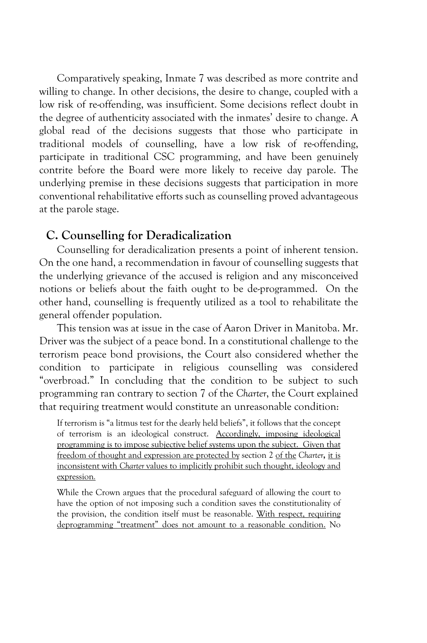Comparatively speaking, Inmate 7 was described as more contrite and willing to change. In other decisions, the desire to change, coupled with a low risk of re-offending, was insufficient. Some decisions reflect doubt in the degree of authenticity associated with the inmates' desire to change. A global read of the decisions suggests that those who participate in traditional models of counselling, have a low risk of re-offending, participate in traditional CSC programming, and have been genuinely contrite before the Board were more likely to receive day parole. The underlying premise in these decisions suggests that participation in more conventional rehabilitative efforts such as counselling proved advantageous at the parole stage.

#### **C. Counselling for Deradicalization**

Counselling for deradicalization presents a point of inherent tension. On the one hand, a recommendation in favour of counselling suggests that the underlying grievance of the accused is religion and any misconceived notions or beliefs about the faith ought to be de-programmed. On the other hand, counselling is frequently utilized as a tool to rehabilitate the general offender population.

This tension was at issue in the case of Aaron Driver in Manitoba. Mr. Driver was the subject of a peace bond. In a constitutional challenge to the terrorism peace bond provisions, the Court also considered whether the condition to participate in religious counselling was considered "overbroad." In concluding that the condition to be subject to such programming ran contrary to section 7 of the *Charter*, the Court explained that requiring treatment would constitute an unreasonable condition:

If terrorism is "a litmus test for the dearly held beliefs", it follows that the concept of terrorism is an ideological construct. Accordingly, imposing ideological programming is to impose subjective belief systems upon the subject. Given that freedom of thought and expression are protected by section 2 of the *Charter***,** it is inconsistent with *Charter* values to implicitly prohibit such thought, ideology and expression*.*

While the Crown argues that the procedural safeguard of allowing the court to have the option of not imposing such a condition saves the constitutionality of the provision, the condition itself must be reasonable. With respect, requiring deprogramming "treatment" does not amount to a reasonable condition. No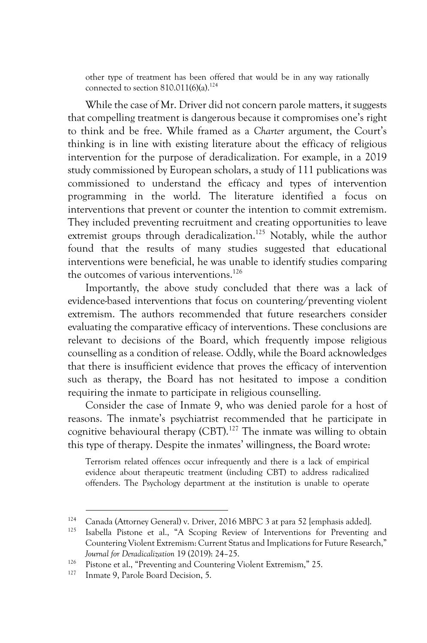other type of treatment has been offered that would be in any way rationally connected to section  $810.011(6)(a).^{124}$ 

While the case of Mr. Driver did not concern parole matters, it suggests that compelling treatment is dangerous because it compromises one's right to think and be free. While framed as a *Charter* argument, the Court's thinking is in line with existing literature about the efficacy of religious intervention for the purpose of deradicalization. For example, in a 2019 study commissioned by European scholars, a study of 111 publications was commissioned to understand the efficacy and types of intervention programming in the world. The literature identified a focus on interventions that prevent or counter the intention to commit extremism. They included preventing recruitment and creating opportunities to leave extremist groups through deradicalization.<sup>125</sup> Notably, while the author found that the results of many studies suggested that educational interventions were beneficial, he was unable to identify studies comparing the outcomes of various interventions.<sup>126</sup>

Importantly, the above study concluded that there was a lack of evidence-based interventions that focus on countering/preventing violent extremism. The authors recommended that future researchers consider evaluating the comparative efficacy of interventions. These conclusions are relevant to decisions of the Board, which frequently impose religious counselling as a condition of release. Oddly, while the Board acknowledges that there is insufficient evidence that proves the efficacy of intervention such as therapy, the Board has not hesitated to impose a condition requiring the inmate to participate in religious counselling.

Consider the case of Inmate 9, who was denied parole for a host of reasons. The inmate's psychiatrist recommended that he participate in cognitive behavioural therapy  $(CBT)$ .<sup>127</sup> The inmate was willing to obtain this type of therapy. Despite the inmates' willingness, the Board wrote:

Terrorism related offences occur infrequently and there is a lack of empirical evidence about therapeutic treatment (including CBT) to address radicalized offenders. The Psychology department at the institution is unable to operate

<sup>&</sup>lt;sup>124</sup> Canada (Attorney General) v. Driver, 2016 MBPC 3 at para 52 [emphasis added].<br><sup>125</sup> Isabella Pietano at al. <sup>44</sup> Seoping Bayiaw of Intervantions for Preventing.

<sup>125</sup> Isabella Pistone et al., "A Scoping Review of Interventions for Preventing and Countering Violent Extremism: Current Status and Implications for Future Research," *Journal for Deradicalization* 19 (2019): 24–25.

<sup>&</sup>lt;sup>126</sup> Pistone et al., "Preventing and Countering Violent Extremism," 25.<br><sup>127</sup> Inpute 9, Persla Board Decision, 5.

Inmate 9, Parole Board Decision, 5.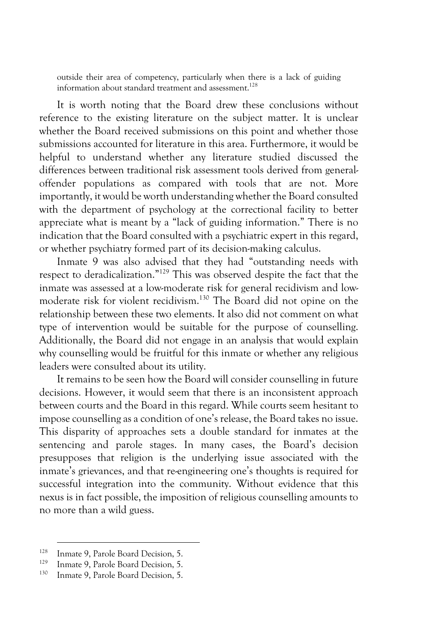outside their area of competency, particularly when there is a lack of guiding information about standard treatment and assessment.<sup>128</sup>

It is worth noting that the Board drew these conclusions without reference to the existing literature on the subject matter. It is unclear whether the Board received submissions on this point and whether those submissions accounted for literature in this area. Furthermore, it would be helpful to understand whether any literature studied discussed the differences between traditional risk assessment tools derived from generaloffender populations as compared with tools that are not. More importantly, it would be worth understanding whether the Board consulted with the department of psychology at the correctional facility to better appreciate what is meant by a "lack of guiding information." There is no indication that the Board consulted with a psychiatric expert in this regard, or whether psychiatry formed part of its decision-making calculus.

Inmate 9 was also advised that they had "outstanding needs with respect to deradicalization." <sup>129</sup> This was observed despite the fact that the inmate was assessed at a low-moderate risk for general recidivism and lowmoderate risk for violent recidivism.130 The Board did not opine on the relationship between these two elements. It also did not comment on what type of intervention would be suitable for the purpose of counselling. Additionally, the Board did not engage in an analysis that would explain why counselling would be fruitful for this inmate or whether any religious leaders were consulted about its utility.

It remains to be seen how the Board will consider counselling in future decisions. However, it would seem that there is an inconsistent approach between courts and the Board in this regard. While courts seem hesitant to impose counselling as a condition of one's release, the Board takes no issue. This disparity of approaches sets a double standard for inmates at the sentencing and parole stages. In many cases, the Board's decision presupposes that religion is the underlying issue associated with the inmate's grievances, and that re-engineering one's thoughts is required for successful integration into the community. Without evidence that this nexus is in fact possible, the imposition of religious counselling amounts to no more than a wild guess.

<sup>&</sup>lt;sup>128</sup> Inmate 9, Parole Board Decision, 5.

<sup>&</sup>lt;sup>129</sup> Inmate 9, Parole Board Decision, 5.<br><sup>130</sup> Inmate 9, Parole Board Decision, 5.

Inmate 9, Parole Board Decision, 5.